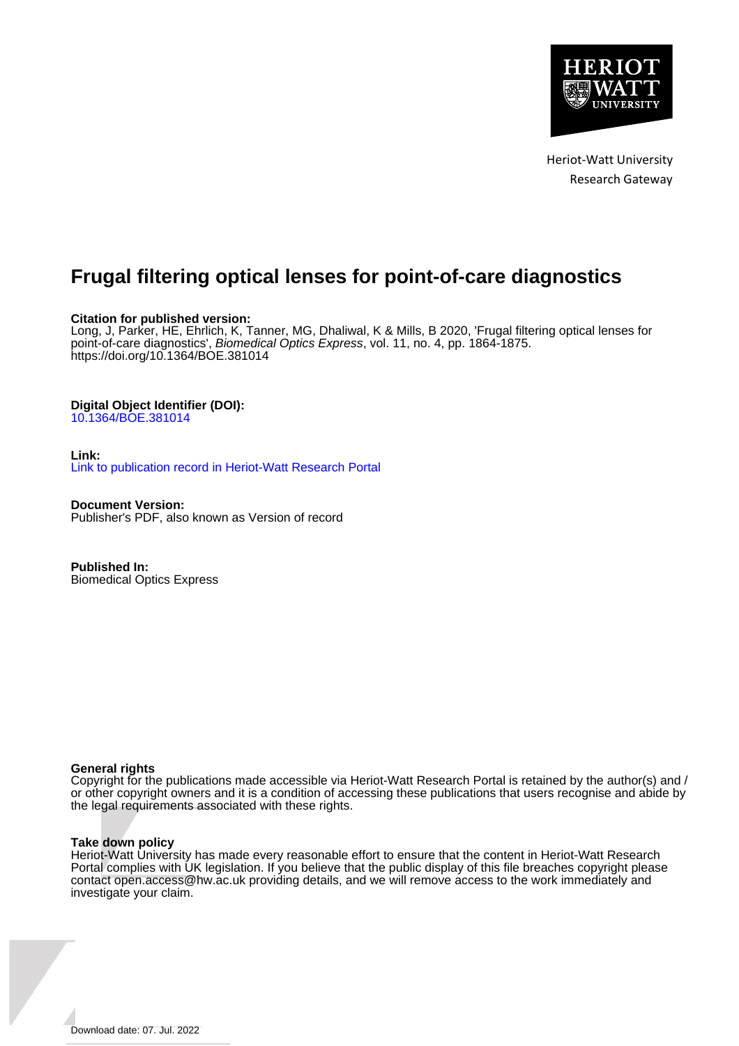

# **Frugal filtering optical lenses for point-of-care diagnostics**

# **Citation for published version:**

Long, J, Parker, HE, Ehrlich, K, Tanner, MG, Dhaliwal, K & Mills, B 2020, 'Frugal filtering optical lenses for point-of-care diagnostics', *Biomedical Optics Express*, vol. 11, no. 4, pp. 1864-1875. <https://doi.org/10.1364/BOE.381014>

# **Digital Object Identifier (DOI):**

[10.1364/BOE.381014](https://doi.org/10.1364/BOE.381014)

# **Link:** [Link to publication record in Heriot-Watt Research Portal](https://researchportal.hw.ac.uk/en/publications/a51cf9a9-770f-4dd1-9958-0b9287ef9fb3)

**Document Version:** Publisher's PDF, also known as Version of record

**Published In:** Biomedical Optics Express

# **General rights**

Copyright for the publications made accessible via Heriot-Watt Research Portal is retained by the author(s) and / or other copyright owners and it is a condition of accessing these publications that users recognise and abide by the legal requirements associated with these rights.

## **Take down policy**

Heriot-Watt University has made every reasonable effort to ensure that the content in Heriot-Watt Research Portal complies with UK legislation. If you believe that the public display of this file breaches copyright please contact open.access@hw.ac.uk providing details, and we will remove access to the work immediately and investigate your claim.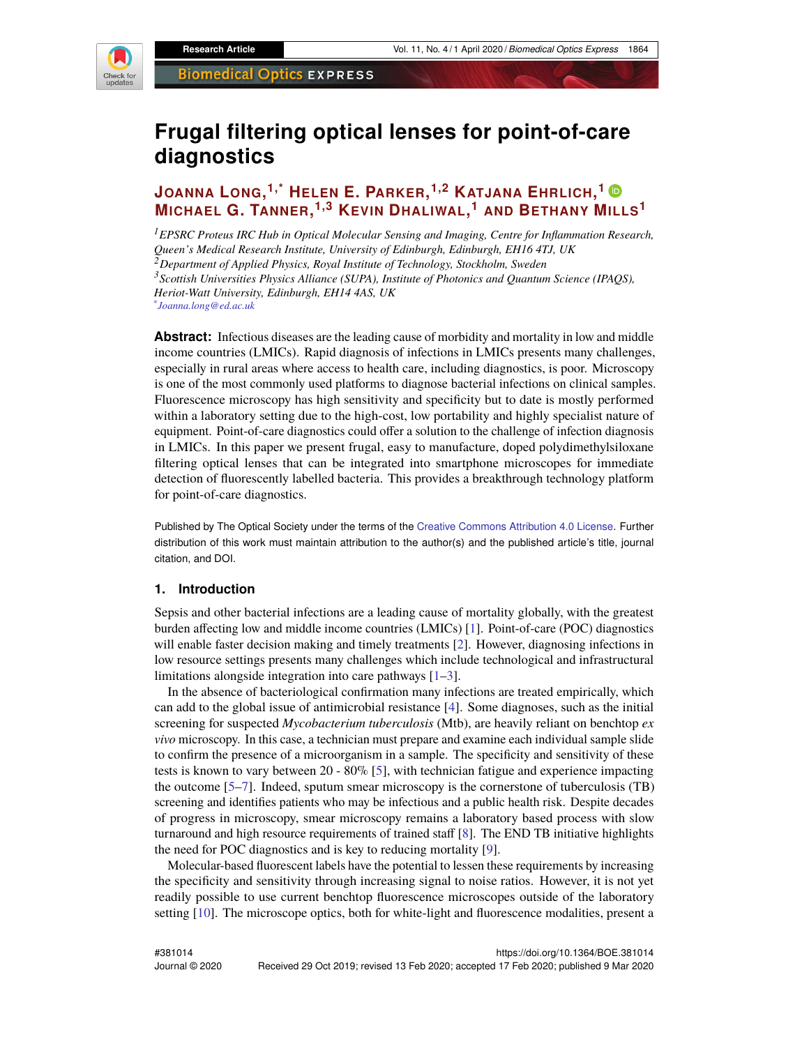

# **Frugal filtering optical lenses for point-of-care diagnostics**

# **JOANNA LONG, 1,\* HELEN E. PARKER, 1,2 KATJANA EHRLICH, 1 MICHAEL G. TANNER, 1,3 KEVIN DHALIWAL, <sup>1</sup> AND BETHANY MILLS<sup>1</sup>**

*<sup>1</sup>EPSRC Proteus IRC Hub in Optical Molecular Sensing and Imaging, Centre for Inflammation Research, Queen's Medical Research Institute, University of Edinburgh, Edinburgh, EH16 4TJ, UK <sup>2</sup>Department of Applied Physics, Royal Institute of Technology, Stockholm, Sweden <sup>3</sup>Scottish Universities Physics Alliance (SUPA), Institute of Photonics and Quantum Science (IPAQS), Heriot-Watt University, Edinburgh, EH14 4AS, UK \* Joanna.long@ed.ac.uk*

**Abstract:** Infectious diseases are the leading cause of morbidity and mortality in low and middle income countries (LMICs). Rapid diagnosis of infections in LMICs presents many challenges, especially in rural areas where access to health care, including diagnostics, is poor. Microscopy is one of the most commonly used platforms to diagnose bacterial infections on clinical samples. Fluorescence microscopy has high sensitivity and specificity but to date is mostly performed within a laboratory setting due to the high-cost, low portability and highly specialist nature of equipment. Point-of-care diagnostics could offer a solution to the challenge of infection diagnosis in LMICs. In this paper we present frugal, easy to manufacture, doped polydimethylsiloxane filtering optical lenses that can be integrated into smartphone microscopes for immediate detection of fluorescently labelled bacteria. This provides a breakthrough technology platform for point-of-care diagnostics.

Published by The Optical Society under the terms of the [Creative Commons Attribution 4.0 License.](http://creativecommons.org/licenses/by/4.0/) Further distribution of this work must maintain attribution to the author(s) and the published article's title, journal citation, and DOI.

#### **1. Introduction**

Sepsis and other bacterial infections are a leading cause of mortality globally, with the greatest burden affecting low and middle income countries (LMICs) [\[1\]](#page-10-0). Point-of-care (POC) diagnostics will enable faster decision making and timely treatments [\[2\]](#page-11-0). However, diagnosing infections in low resource settings presents many challenges which include technological and infrastructural limitations alongside integration into care pathways [\[1](#page-10-0)[–3\]](#page-11-1).

In the absence of bacteriological confirmation many infections are treated empirically, which can add to the global issue of antimicrobial resistance [\[4\]](#page-11-2). Some diagnoses, such as the initial screening for suspected *Mycobacterium tuberculosis* (Mtb), are heavily reliant on benchtop *ex vivo* microscopy. In this case, a technician must prepare and examine each individual sample slide to confirm the presence of a microorganism in a sample. The specificity and sensitivity of these tests is known to vary between 20 - 80% [\[5\]](#page-11-3), with technician fatigue and experience impacting the outcome [\[5–](#page-11-3)[7\]](#page-11-4). Indeed, sputum smear microscopy is the cornerstone of tuberculosis (TB) screening and identifies patients who may be infectious and a public health risk. Despite decades of progress in microscopy, smear microscopy remains a laboratory based process with slow turnaround and high resource requirements of trained staff [\[8\]](#page-11-5). The END TB initiative highlights the need for POC diagnostics and is key to reducing mortality [\[9\]](#page-11-6).

Molecular-based fluorescent labels have the potential to lessen these requirements by increasing the specificity and sensitivity through increasing signal to noise ratios. However, it is not yet readily possible to use current benchtop fluorescence microscopes outside of the laboratory setting [\[10\]](#page-11-7). The microscope optics, both for white-light and fluorescence modalities, present a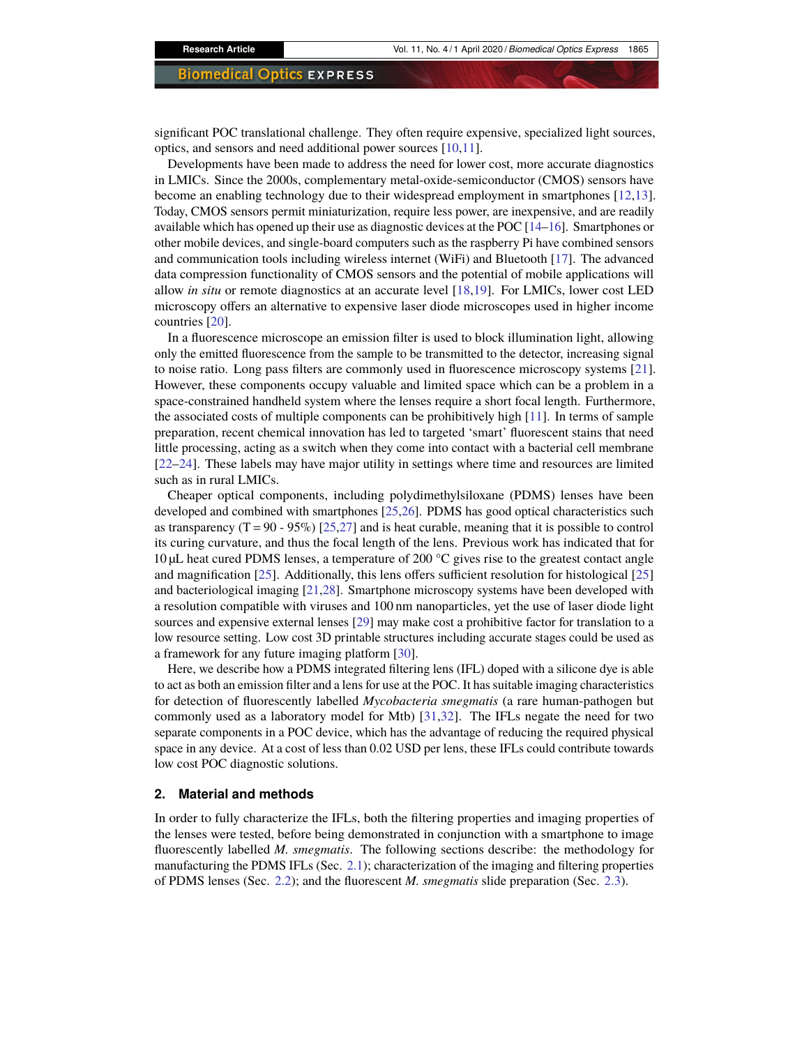significant POC translational challenge. They often require expensive, specialized light sources, optics, and sensors and need additional power sources [\[10](#page-11-7)[,11\]](#page-11-8).

Developments have been made to address the need for lower cost, more accurate diagnostics in LMICs. Since the 2000s, complementary metal-oxide-semiconductor (CMOS) sensors have become an enabling technology due to their widespread employment in smartphones [\[12,](#page-11-9)[13\]](#page-11-10). Today, CMOS sensors permit miniaturization, require less power, are inexpensive, and are readily available which has opened up their use as diagnostic devices at the POC [\[14](#page-11-11)[–16\]](#page-11-12). Smartphones or other mobile devices, and single-board computers such as the raspberry Pi have combined sensors and communication tools including wireless internet (WiFi) and Bluetooth [\[17\]](#page-11-13). The advanced data compression functionality of CMOS sensors and the potential of mobile applications will allow *in situ* or remote diagnostics at an accurate level [\[18,](#page-11-14)[19\]](#page-11-15). For LMICs, lower cost LED microscopy offers an alternative to expensive laser diode microscopes used in higher income countries [\[20\]](#page-11-16).

In a fluorescence microscope an emission filter is used to block illumination light, allowing only the emitted fluorescence from the sample to be transmitted to the detector, increasing signal to noise ratio. Long pass filters are commonly used in fluorescence microscopy systems [\[21\]](#page-11-17). However, these components occupy valuable and limited space which can be a problem in a space-constrained handheld system where the lenses require a short focal length. Furthermore, the associated costs of multiple components can be prohibitively high [\[11\]](#page-11-8). In terms of sample preparation, recent chemical innovation has led to targeted 'smart' fluorescent stains that need little processing, acting as a switch when they come into contact with a bacterial cell membrane [\[22–](#page-11-18)[24\]](#page-11-19). These labels may have major utility in settings where time and resources are limited such as in rural LMICs.

Cheaper optical components, including polydimethylsiloxane (PDMS) lenses have been developed and combined with smartphones [\[25,](#page-11-20)[26\]](#page-11-21). PDMS has good optical characteristics such as transparency  $(T = 90 - 95\%)$  [\[25,](#page-11-20)[27\]](#page-11-22) and is heat curable, meaning that it is possible to control its curing curvature, and thus the focal length of the lens. Previous work has indicated that for 10 µL heat cured PDMS lenses, a temperature of 200 °C gives rise to the greatest contact angle and magnification [\[25\]](#page-11-20). Additionally, this lens offers sufficient resolution for histological [\[25\]](#page-11-20) and bacteriological imaging [\[21](#page-11-17)[,28\]](#page-12-0). Smartphone microscopy systems have been developed with a resolution compatible with viruses and 100 nm nanoparticles, yet the use of laser diode light sources and expensive external lenses [\[29\]](#page-12-1) may make cost a prohibitive factor for translation to a low resource setting. Low cost 3D printable structures including accurate stages could be used as a framework for any future imaging platform [\[30\]](#page-12-2).

Here, we describe how a PDMS integrated filtering lens (IFL) doped with a silicone dye is able to act as both an emission filter and a lens for use at the POC. It has suitable imaging characteristics for detection of fluorescently labelled *Mycobacteria smegmatis* (a rare human-pathogen but commonly used as a laboratory model for Mtb) [\[31,](#page-12-3)[32\]](#page-12-4). The IFLs negate the need for two separate components in a POC device, which has the advantage of reducing the required physical space in any device. At a cost of less than 0.02 USD per lens, these IFLs could contribute towards low cost POC diagnostic solutions.

#### **2. Material and methods**

In order to fully characterize the IFLs, both the filtering properties and imaging properties of the lenses were tested, before being demonstrated in conjunction with a smartphone to image fluorescently labelled *M. smegmatis*. The following sections describe: the methodology for manufacturing the PDMS IFLs (Sec. [2.1\)](#page-3-0); characterization of the imaging and filtering properties of PDMS lenses (Sec. [2.2\)](#page-3-1); and the fluorescent *M. smegmatis* slide preparation (Sec. [2.3\)](#page-3-2).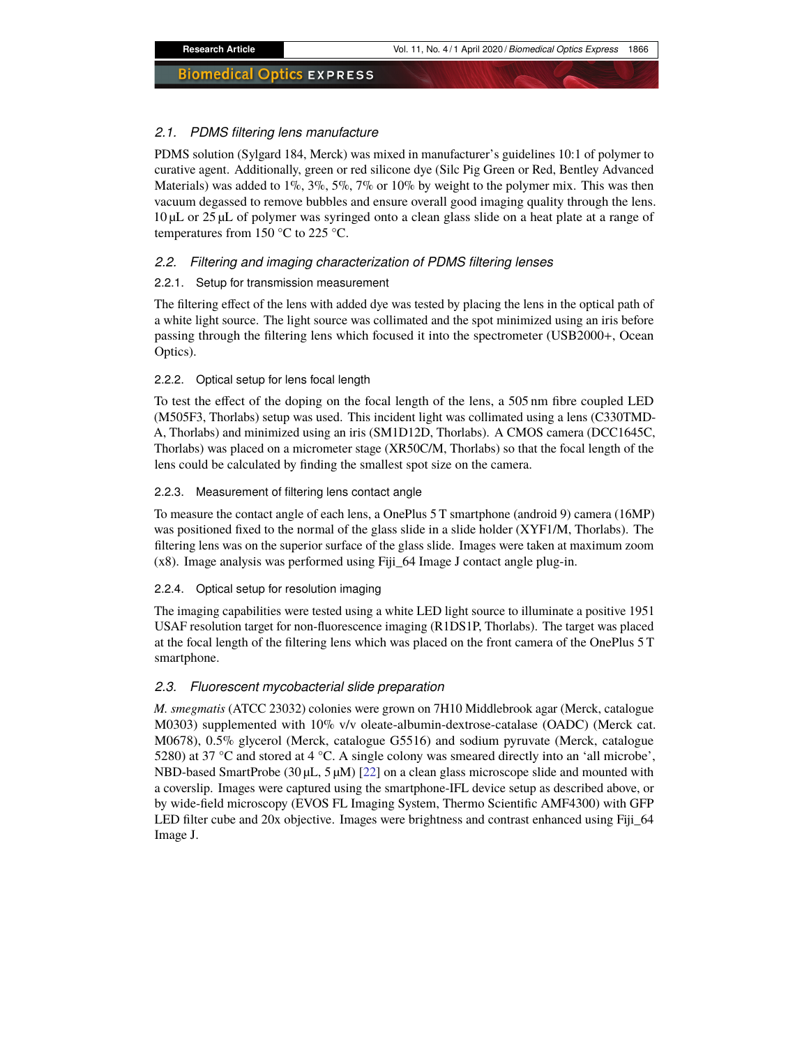#### <span id="page-3-0"></span>*2.1. PDMS filtering lens manufacture*

PDMS solution (Sylgard 184, Merck) was mixed in manufacturer's guidelines 10:1 of polymer to curative agent. Additionally, green or red silicone dye (Silc Pig Green or Red, Bentley Advanced Materials) was added to  $1\%, 3\%, 5\%, 7\%$  or  $10\%$  by weight to the polymer mix. This was then vacuum degassed to remove bubbles and ensure overall good imaging quality through the lens. 10 µL or 25 µL of polymer was syringed onto a clean glass slide on a heat plate at a range of temperatures from 150  $\degree$ C to 225  $\degree$ C.

#### <span id="page-3-1"></span>*2.2. Filtering and imaging characterization of PDMS filtering lenses*

#### 2.2.1. Setup for transmission measurement

The filtering effect of the lens with added dye was tested by placing the lens in the optical path of a white light source. The light source was collimated and the spot minimized using an iris before passing through the filtering lens which focused it into the spectrometer (USB2000+, Ocean Optics).

#### 2.2.2. Optical setup for lens focal length

To test the effect of the doping on the focal length of the lens, a 505 nm fibre coupled LED (M505F3, Thorlabs) setup was used. This incident light was collimated using a lens (C330TMD-A, Thorlabs) and minimized using an iris (SM1D12D, Thorlabs). A CMOS camera (DCC1645C, Thorlabs) was placed on a micrometer stage (XR50C/M, Thorlabs) so that the focal length of the lens could be calculated by finding the smallest spot size on the camera.

#### 2.2.3. Measurement of filtering lens contact angle

To measure the contact angle of each lens, a OnePlus 5 T smartphone (android 9) camera (16MP) was positioned fixed to the normal of the glass slide in a slide holder (XYF1/M, Thorlabs). The filtering lens was on the superior surface of the glass slide. Images were taken at maximum zoom (x8). Image analysis was performed using Fiji\_64 Image J contact angle plug-in.

#### 2.2.4. Optical setup for resolution imaging

The imaging capabilities were tested using a white LED light source to illuminate a positive 1951 USAF resolution target for non-fluorescence imaging (R1DS1P, Thorlabs). The target was placed at the focal length of the filtering lens which was placed on the front camera of the OnePlus 5 T smartphone.

#### <span id="page-3-2"></span>*2.3. Fluorescent mycobacterial slide preparation*

*M. smegmatis* (ATCC 23032) colonies were grown on 7H10 Middlebrook agar (Merck, catalogue M0303) supplemented with 10% v/v oleate-albumin-dextrose-catalase (OADC) (Merck cat. M0678), 0.5% glycerol (Merck, catalogue G5516) and sodium pyruvate (Merck, catalogue 5280) at 37 °C and stored at 4 °C. A single colony was smeared directly into an 'all microbe', NBD-based SmartProbe (30  $\mu$ L, 5  $\mu$ M) [\[22\]](#page-11-18) on a clean glass microscope slide and mounted with a coverslip. Images were captured using the smartphone-IFL device setup as described above, or by wide-field microscopy (EVOS FL Imaging System, Thermo Scientific AMF4300) with GFP LED filter cube and 20x objective. Images were brightness and contrast enhanced using Fiji\_64 Image J.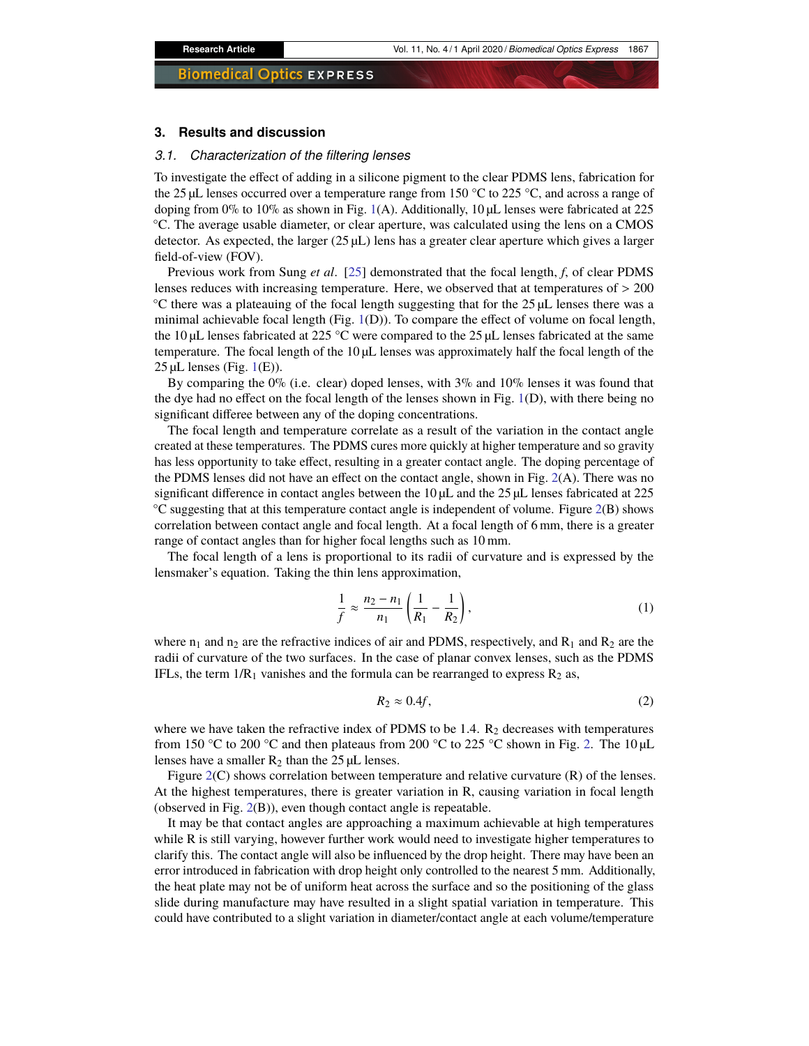#### **3. Results and discussion**

#### *3.1. Characterization of the filtering lenses*

To investigate the effect of adding in a silicone pigment to the clear PDMS lens, fabrication for the 25 µL lenses occurred over a temperature range from 150 °C to 225 °C, and across a range of doping from 0% to 10% as shown in Fig. [1\(](#page-5-0)A). Additionally, 10  $\mu$ L lenses were fabricated at 225 °C. The average usable diameter, or clear aperture, was calculated using the lens on a CMOS detector. As expected, the larger  $(25 \mu L)$  lens has a greater clear aperture which gives a larger field-of-view (FOV).

Previous work from Sung *et al*. [\[25\]](#page-11-20) demonstrated that the focal length, *f*, of clear PDMS lenses reduces with increasing temperature. Here, we observed that at temperatures of > <sup>200</sup> °C there was a plateauing of the focal length suggesting that for the 25 µL lenses there was a minimal achievable focal length (Fig.  $1(D)$  $1(D)$ ). To compare the effect of volume on focal length, the 10 µL lenses fabricated at 225 °C were compared to the 25 µL lenses fabricated at the same temperature. The focal length of the 10 µL lenses was approximately half the focal length of the  $25 \mu L$  lenses (Fig. [1\(](#page-5-0)E)).

By comparing the  $0\%$  (i.e. clear) doped lenses, with  $3\%$  and  $10\%$  lenses it was found that the dye had no effect on the focal length of the lenses shown in Fig. [1\(](#page-5-0)D), with there being no significant differee between any of the doping concentrations.

The focal length and temperature correlate as a result of the variation in the contact angle created at these temperatures. The PDMS cures more quickly at higher temperature and so gravity has less opportunity to take effect, resulting in a greater contact angle. The doping percentage of the PDMS lenses did not have an effect on the contact angle, shown in Fig. [2\(](#page-6-0)A). There was no significant difference in contact angles between the  $10 \mu$ L and the 25  $\mu$ L lenses fabricated at 225 °C suggesting that at this temperature contact angle is independent of volume. Figure [2\(](#page-6-0)B) shows correlation between contact angle and focal length. At a focal length of 6 mm, there is a greater range of contact angles than for higher focal lengths such as 10 mm.

The focal length of a lens is proportional to its radii of curvature and is expressed by the lensmaker's equation. Taking the thin lens approximation,

$$
\frac{1}{f} \approx \frac{n_2 - n_1}{n_1} \left( \frac{1}{R_1} - \frac{1}{R_2} \right),\tag{1}
$$

where  $n_1$  and  $n_2$  are the refractive indices of air and PDMS, respectively, and  $R_1$  and  $R_2$  are the radii of curvature of the two surfaces. In the case of planar convex lenses, such as the PDMS IFLs, the term  $1/R_1$  vanishes and the formula can be rearranged to express  $R_2$  as,

$$
R_2 \approx 0.4f,\tag{2}
$$

where we have taken the refractive index of PDMS to be 1.4.  $R_2$  decreases with temperatures from 150 °C to 200 °C and then plateaus from 200 °C to 225 °C shown in Fig. [2.](#page-6-0) The 10  $\mu$ L lenses have a smaller  $R_2$  than the 25  $\mu$ L lenses.

Figure [2\(](#page-6-0)C) shows correlation between temperature and relative curvature (R) of the lenses. At the highest temperatures, there is greater variation in R, causing variation in focal length (observed in Fig. [2\(](#page-6-0)B)), even though contact angle is repeatable.

It may be that contact angles are approaching a maximum achievable at high temperatures while R is still varying, however further work would need to investigate higher temperatures to clarify this. The contact angle will also be influenced by the drop height. There may have been an error introduced in fabrication with drop height only controlled to the nearest 5 mm. Additionally, the heat plate may not be of uniform heat across the surface and so the positioning of the glass slide during manufacture may have resulted in a slight spatial variation in temperature. This could have contributed to a slight variation in diameter/contact angle at each volume/temperature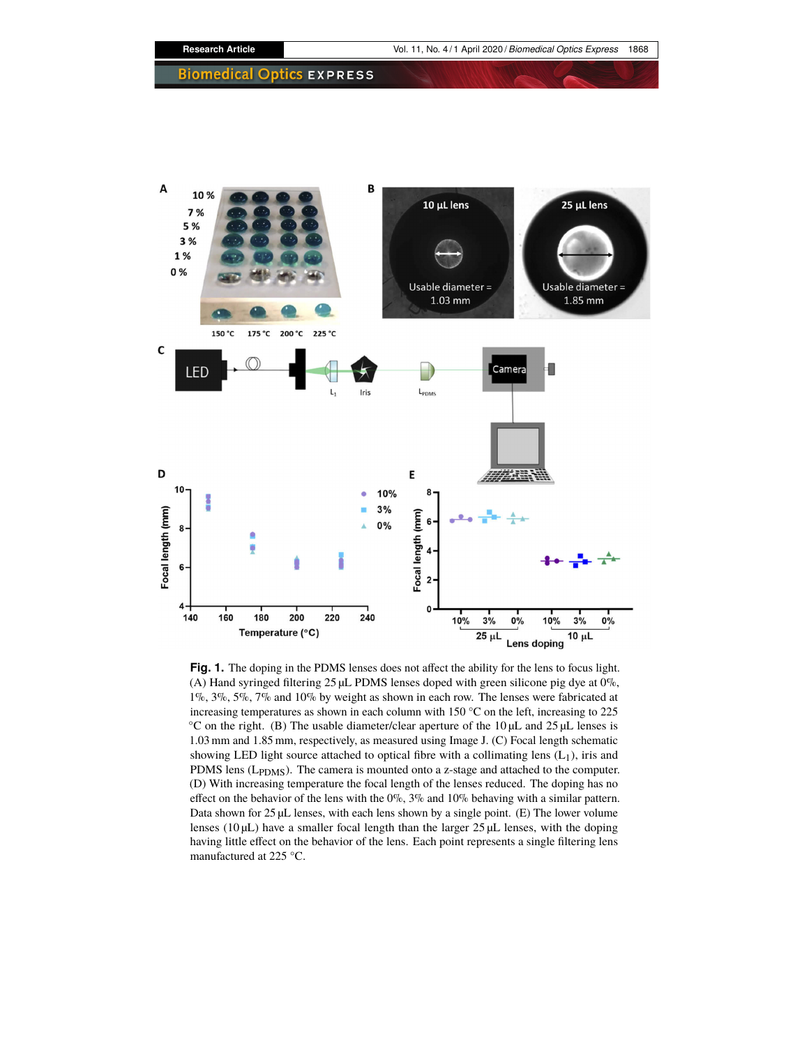

<span id="page-5-0"></span>**Fig. 1.** The doping in the PDMS lenses does not affect the ability for the lens to focus light. (A) Hand syringed filtering  $25 \mu L$  PDMS lenses doped with green silicone pig dye at  $0\%$ , 1%, 3%, 5%, 7% and 10% by weight as shown in each row. The lenses were fabricated at increasing temperatures as shown in each column with 150 °C on the left, increasing to 225 °C on the right. (B) The usable diameter/clear aperture of the 10 µL and 25 µL lenses is 1.03 mm and 1.85 mm, respectively, as measured using Image J. (C) Focal length schematic showing LED light source attached to optical fibre with a collimating lens  $(L_1)$ , iris and PDMS lens (LPDMS). The camera is mounted onto a z-stage and attached to the computer. (D) With increasing temperature the focal length of the lenses reduced. The doping has no effect on the behavior of the lens with the 0%, 3% and 10% behaving with a similar pattern. Data shown for 25 µL lenses, with each lens shown by a single point. (E) The lower volume lenses ( $10 \mu$ L) have a smaller focal length than the larger  $25 \mu$ L lenses, with the doping having little effect on the behavior of the lens. Each point represents a single filtering lens manufactured at 225 °C.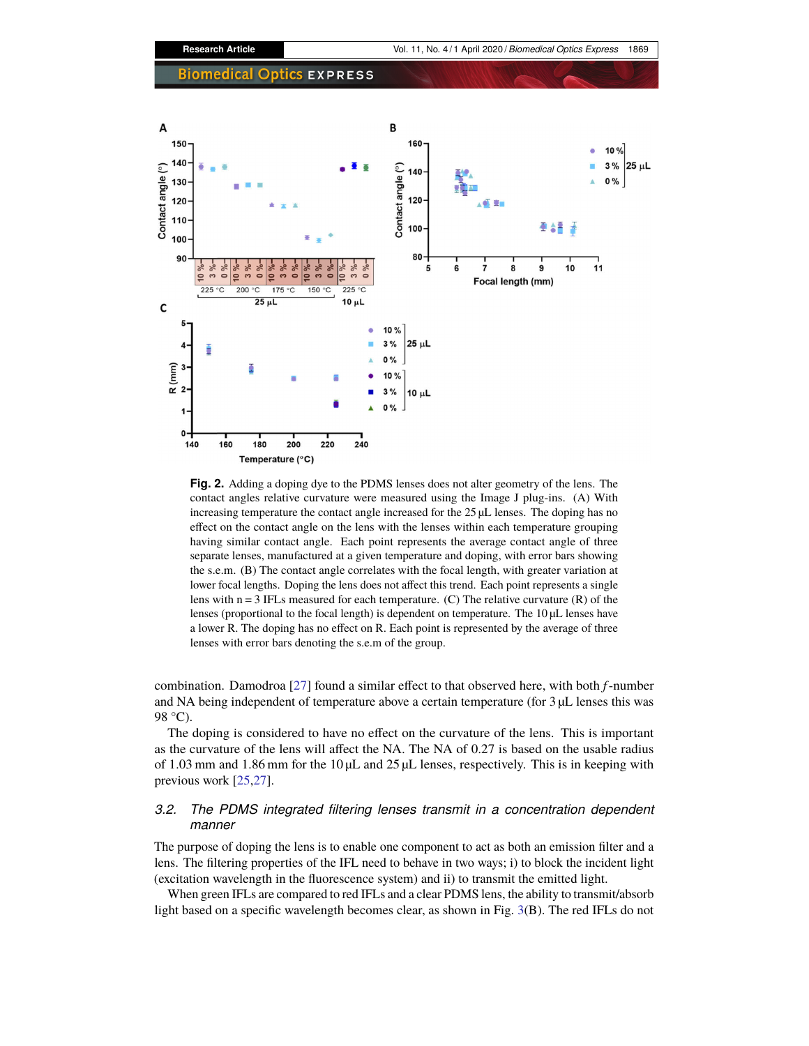

<span id="page-6-0"></span>**Fig. 2.** Adding a doping dye to the PDMS lenses does not alter geometry of the lens. The contact angles relative curvature were measured using the Image J plug-ins. (A) With increasing temperature the contact angle increased for the 25 µL lenses. The doping has no effect on the contact angle on the lens with the lenses within each temperature grouping having similar contact angle. Each point represents the average contact angle of three separate lenses, manufactured at a given temperature and doping, with error bars showing the s.e.m. (B) The contact angle correlates with the focal length, with greater variation at lower focal lengths. Doping the lens does not affect this trend. Each point represents a single lens with  $n = 3$  IFLs measured for each temperature. (C) The relative curvature (R) of the lenses (proportional to the focal length) is dependent on temperature. The 10 µL lenses have a lower R. The doping has no effect on R. Each point is represented by the average of three lenses with error bars denoting the s.e.m of the group.

combination. Damodroa [\[27\]](#page-11-22) found a similar effect to that observed here, with both *f*-number and NA being independent of temperature above a certain temperature (for  $3 \mu L$  lenses this was 98 °C).

The doping is considered to have no effect on the curvature of the lens. This is important as the curvature of the lens will affect the NA. The NA of 0.27 is based on the usable radius of 1.03 mm and 1.86 mm for the 10  $\mu$ L and 25  $\mu$ L lenses, respectively. This is in keeping with previous work [\[25](#page-11-20)[,27\]](#page-11-22).

# *3.2. The PDMS integrated filtering lenses transmit in a concentration dependent manner*

The purpose of doping the lens is to enable one component to act as both an emission filter and a lens. The filtering properties of the IFL need to behave in two ways; i) to block the incident light (excitation wavelength in the fluorescence system) and ii) to transmit the emitted light.

When green IFLs are compared to red IFLs and a clear PDMS lens, the ability to transmit/absorb light based on a specific wavelength becomes clear, as shown in Fig. [3\(](#page-7-0)B). The red IFLs do not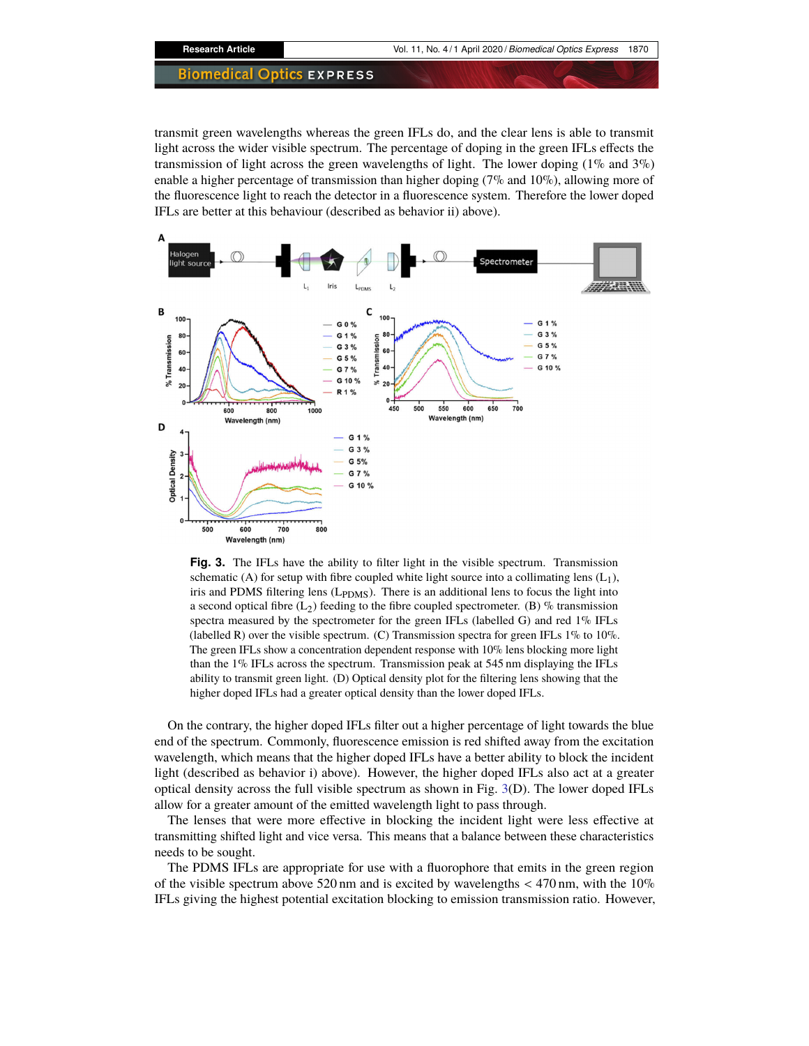transmit green wavelengths whereas the green IFLs do, and the clear lens is able to transmit light across the wider visible spectrum. The percentage of doping in the green IFLs effects the transmission of light across the green wavelengths of light. The lower doping  $(1\% \text{ and } 3\%)$ enable a higher percentage of transmission than higher doping (7% and 10%), allowing more of the fluorescence light to reach the detector in a fluorescence system. Therefore the lower doped IFLs are better at this behaviour (described as behavior ii) above).



<span id="page-7-0"></span>**Fig. 3.** The IFLs have the ability to filter light in the visible spectrum. Transmission schematic (A) for setup with fibre coupled white light source into a collimating lens  $(L_1)$ , iris and PDMS filtering lens (L<sub>PDMS</sub>). There is an additional lens to focus the light into a second optical fibre  $(L_2)$  feeding to the fibre coupled spectrometer. (B) % transmission spectra measured by the spectrometer for the green IFLs (labelled G) and red 1% IFLs (labelled R) over the visible spectrum. (C) Transmission spectra for green IFLs  $1\%$  to  $10\%$ . The green IFLs show a concentration dependent response with 10% lens blocking more light than the 1% IFLs across the spectrum. Transmission peak at 545 nm displaying the IFLs ability to transmit green light. (D) Optical density plot for the filtering lens showing that the higher doped IFLs had a greater optical density than the lower doped IFLs.

On the contrary, the higher doped IFLs filter out a higher percentage of light towards the blue end of the spectrum. Commonly, fluorescence emission is red shifted away from the excitation wavelength, which means that the higher doped IFLs have a better ability to block the incident light (described as behavior i) above). However, the higher doped IFLs also act at a greater optical density across the full visible spectrum as shown in Fig. [3\(](#page-7-0)D). The lower doped IFLs allow for a greater amount of the emitted wavelength light to pass through.

The lenses that were more effective in blocking the incident light were less effective at transmitting shifted light and vice versa. This means that a balance between these characteristics needs to be sought.

The PDMS IFLs are appropriate for use with a fluorophore that emits in the green region of the visible spectrum above 520 nm and is excited by wavelengths  $<$  470 nm, with the 10% IFLs giving the highest potential excitation blocking to emission transmission ratio. However,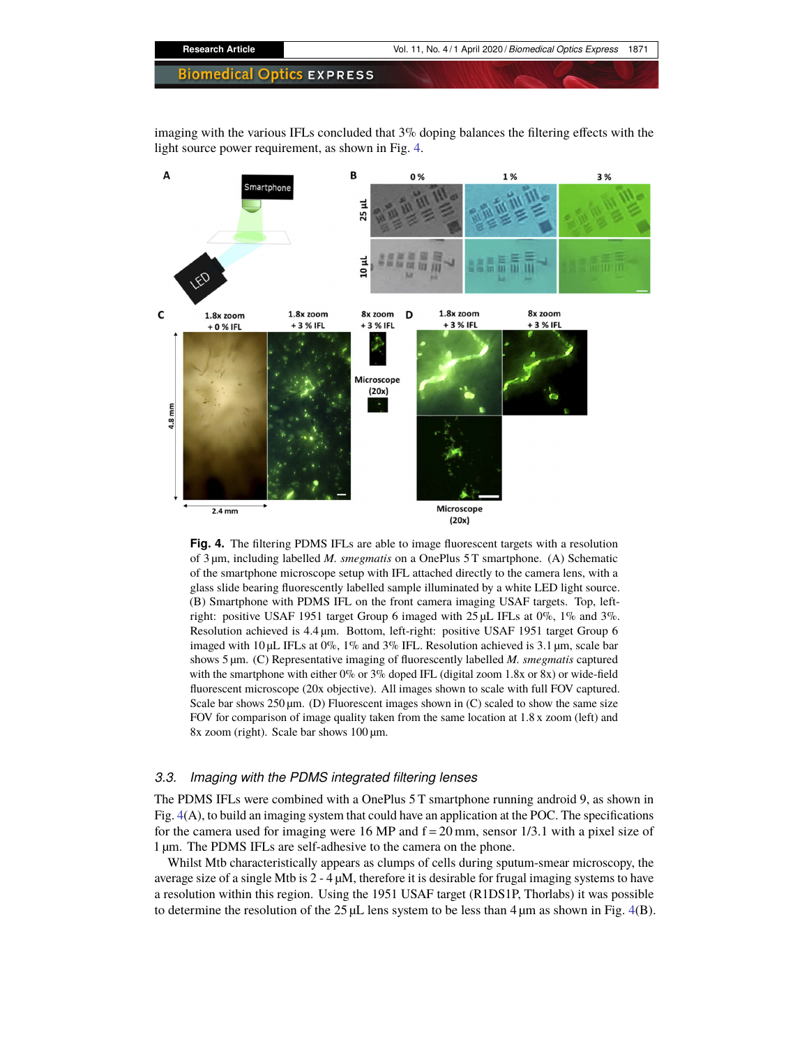imaging with the various IFLs concluded that  $3\%$  doping balances the filtering effects with the light source power requirement, as shown in Fig. [4.](#page-8-0)



<span id="page-8-0"></span>Fig. 4. The filtering PDMS IFLs are able to image fluorescent targets with a resolution of 3 µm, including labelled *M. smegmatis* on a OnePlus 5 T smartphone. (A) Schematic of the smartphone microscope setup with IFL attached directly to the camera lens, with a glass slide bearing fluorescently labelled sample illuminated by a white LED light source. (B) Smartphone with PDMS IFL on the front camera imaging USAF targets. Top, leftright: positive USAF 1951 target Group 6 imaged with 25 µL IFLs at 0%, 1% and 3%. Resolution achieved is 4.4 µm. Bottom, left-right: positive USAF 1951 target Group 6 imaged with 10 µL IFLs at 0%, 1% and 3% IFL. Resolution achieved is 3.1 µm, scale bar shows 5 µm. (C) Representative imaging of fluorescently labelled *M. smegmatis* captured with the smartphone with either 0% or 3% doped IFL (digital zoom 1.8x or 8x) or wide-field fluorescent microscope (20x objective). All images shown to scale with full FOV captured. Scale bar shows  $250 \mu m$ . (D) Fluorescent images shown in (C) scaled to show the same size FOV for comparison of image quality taken from the same location at 1.8 x zoom (left) and 8x zoom (right). Scale bar shows 100 µm.

# *3.3. Imaging with the PDMS integrated filtering lenses*

The PDMS IFLs were combined with a OnePlus 5 T smartphone running android 9, as shown in Fig. [4\(](#page-8-0)A), to build an imaging system that could have an application at the POC. The specifications for the camera used for imaging were 16 MP and  $f = 20$  mm, sensor 1/3.1 with a pixel size of 1 µm. The PDMS IFLs are self-adhesive to the camera on the phone.

Whilst Mtb characteristically appears as clumps of cells during sputum-smear microscopy, the average size of a single Mtb is  $2 - 4 \mu M$ , therefore it is desirable for frugal imaging systems to have a resolution within this region. Using the 1951 USAF target (R1DS1P, Thorlabs) it was possible to determine the resolution of the  $25 \mu L$  lens system to be less than 4  $\mu$ m as shown in Fig. [4\(](#page-8-0)B).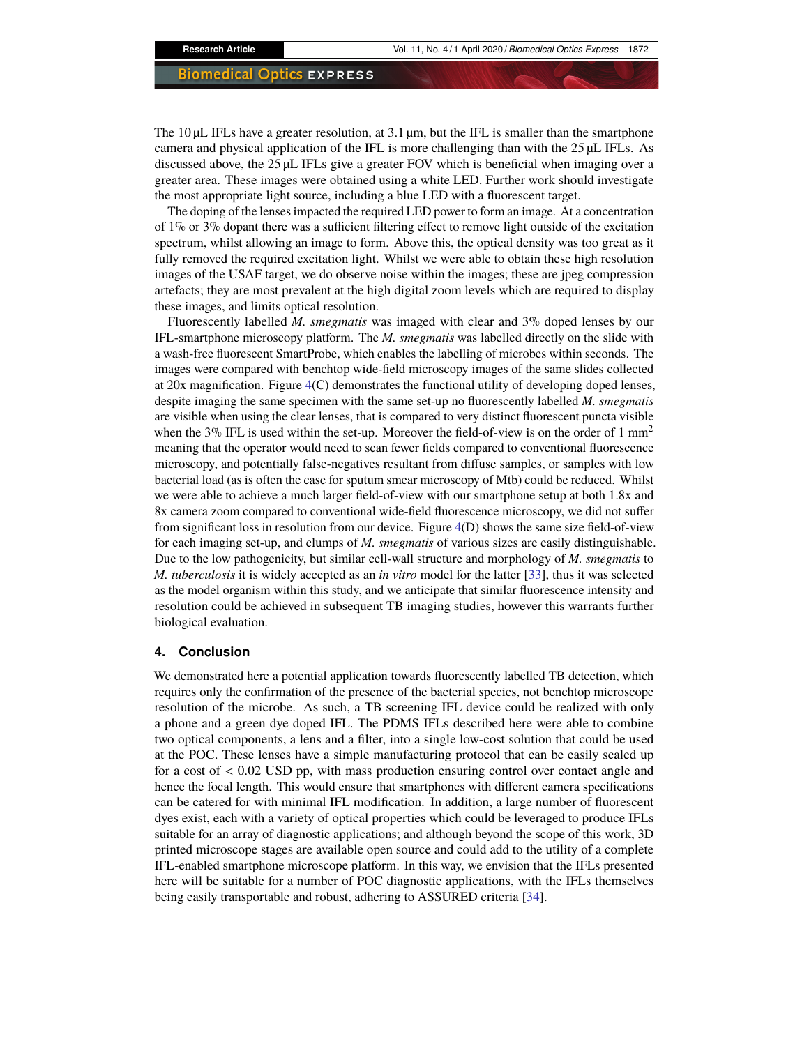The 10  $\mu$ L IFLs have a greater resolution, at 3.1  $\mu$ m, but the IFL is smaller than the smartphone camera and physical application of the IFL is more challenging than with the  $25 \mu L$  IFLs. As discussed above, the 25 µL IFLs give a greater FOV which is beneficial when imaging over a greater area. These images were obtained using a white LED. Further work should investigate the most appropriate light source, including a blue LED with a fluorescent target.

The doping of the lenses impacted the required LED power to form an image. At a concentration of 1% or 3% dopant there was a sufficient filtering effect to remove light outside of the excitation spectrum, whilst allowing an image to form. Above this, the optical density was too great as it fully removed the required excitation light. Whilst we were able to obtain these high resolution images of the USAF target, we do observe noise within the images; these are jpeg compression artefacts; they are most prevalent at the high digital zoom levels which are required to display these images, and limits optical resolution.

Fluorescently labelled *M. smegmatis* was imaged with clear and 3% doped lenses by our IFL-smartphone microscopy platform. The *M. smegmatis* was labelled directly on the slide with a wash-free fluorescent SmartProbe, which enables the labelling of microbes within seconds. The images were compared with benchtop wide-field microscopy images of the same slides collected at 20x magnification. Figure [4\(](#page-8-0)C) demonstrates the functional utility of developing doped lenses, despite imaging the same specimen with the same set-up no fluorescently labelled *M. smegmatis* are visible when using the clear lenses, that is compared to very distinct fluorescent puncta visible when the 3% IFL is used within the set-up. Moreover the field-of-view is on the order of 1 mm<sup>2</sup> meaning that the operator would need to scan fewer fields compared to conventional fluorescence microscopy, and potentially false-negatives resultant from diffuse samples, or samples with low bacterial load (as is often the case for sputum smear microscopy of Mtb) could be reduced. Whilst we were able to achieve a much larger field-of-view with our smartphone setup at both 1.8x and 8x camera zoom compared to conventional wide-field fluorescence microscopy, we did not suffer from significant loss in resolution from our device. Figure [4\(](#page-8-0)D) shows the same size field-of-view for each imaging set-up, and clumps of *M. smegmatis* of various sizes are easily distinguishable. Due to the low pathogenicity, but similar cell-wall structure and morphology of *M. smegmatis* to *M. tuberculosis* it is widely accepted as an *in vitro* model for the latter [\[33\]](#page-12-5), thus it was selected as the model organism within this study, and we anticipate that similar fluorescence intensity and resolution could be achieved in subsequent TB imaging studies, however this warrants further biological evaluation.

## **4. Conclusion**

We demonstrated here a potential application towards fluorescently labelled TB detection, which requires only the confirmation of the presence of the bacterial species, not benchtop microscope resolution of the microbe. As such, a TB screening IFL device could be realized with only a phone and a green dye doped IFL. The PDMS IFLs described here were able to combine two optical components, a lens and a filter, into a single low-cost solution that could be used at the POC. These lenses have a simple manufacturing protocol that can be easily scaled up for a cost of  $\lt$  0.02 USD pp, with mass production ensuring control over contact angle and hence the focal length. This would ensure that smartphones with different camera specifications can be catered for with minimal IFL modification. In addition, a large number of fluorescent dyes exist, each with a variety of optical properties which could be leveraged to produce IFLs suitable for an array of diagnostic applications; and although beyond the scope of this work, 3D printed microscope stages are available open source and could add to the utility of a complete IFL-enabled smartphone microscope platform. In this way, we envision that the IFLs presented here will be suitable for a number of POC diagnostic applications, with the IFLs themselves being easily transportable and robust, adhering to ASSURED criteria [\[34\]](#page-12-6).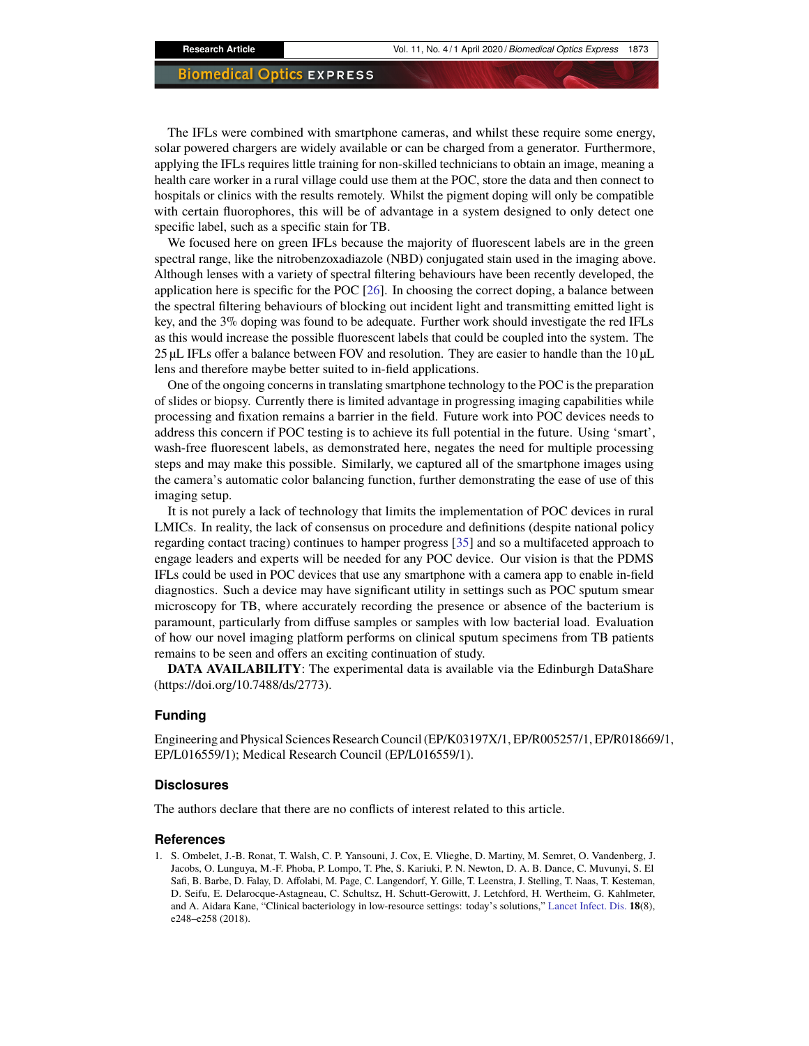The IFLs were combined with smartphone cameras, and whilst these require some energy, solar powered chargers are widely available or can be charged from a generator. Furthermore, applying the IFLs requires little training for non-skilled technicians to obtain an image, meaning a health care worker in a rural village could use them at the POC, store the data and then connect to hospitals or clinics with the results remotely. Whilst the pigment doping will only be compatible with certain fluorophores, this will be of advantage in a system designed to only detect one specific label, such as a specific stain for TB.

We focused here on green IFLs because the majority of fluorescent labels are in the green spectral range, like the nitrobenzoxadiazole (NBD) conjugated stain used in the imaging above. Although lenses with a variety of spectral filtering behaviours have been recently developed, the application here is specific for the POC [\[26\]](#page-11-21). In choosing the correct doping, a balance between the spectral filtering behaviours of blocking out incident light and transmitting emitted light is key, and the 3% doping was found to be adequate. Further work should investigate the red IFLs as this would increase the possible fluorescent labels that could be coupled into the system. The 25  $\mu$ L IFLs offer a balance between FOV and resolution. They are easier to handle than the 10  $\mu$ L lens and therefore maybe better suited to in-field applications.

One of the ongoing concerns in translating smartphone technology to the POC is the preparation of slides or biopsy. Currently there is limited advantage in progressing imaging capabilities while processing and fixation remains a barrier in the field. Future work into POC devices needs to address this concern if POC testing is to achieve its full potential in the future. Using 'smart', wash-free fluorescent labels, as demonstrated here, negates the need for multiple processing steps and may make this possible. Similarly, we captured all of the smartphone images using the camera's automatic color balancing function, further demonstrating the ease of use of this imaging setup.

It is not purely a lack of technology that limits the implementation of POC devices in rural LMICs. In reality, the lack of consensus on procedure and definitions (despite national policy regarding contact tracing) continues to hamper progress [\[35\]](#page-12-7) and so a multifaceted approach to engage leaders and experts will be needed for any POC device. Our vision is that the PDMS IFLs could be used in POC devices that use any smartphone with a camera app to enable in-field diagnostics. Such a device may have significant utility in settings such as POC sputum smear microscopy for TB, where accurately recording the presence or absence of the bacterium is paramount, particularly from diffuse samples or samples with low bacterial load. Evaluation of how our novel imaging platform performs on clinical sputum specimens from TB patients remains to be seen and offers an exciting continuation of study.

**DATA AVAILABILITY**: The experimental data is available via the Edinburgh DataShare (https://doi.org/10.7488/ds/2773).

## **Funding**

Engineering and Physical Sciences Research Council (EP/K03197X/1, EP/R005257/1, EP/R018669/1, EP/L016559/1); Medical Research Council (EP/L016559/1).

#### **Disclosures**

The authors declare that there are no conflicts of interest related to this article.

#### **References**

<span id="page-10-0"></span>1. S. Ombelet, J.-B. Ronat, T. Walsh, C. P. Yansouni, J. Cox, E. Vlieghe, D. Martiny, M. Semret, O. Vandenberg, J. Jacobs, O. Lunguya, M.-F. Phoba, P. Lompo, T. Phe, S. Kariuki, P. N. Newton, D. A. B. Dance, C. Muvunyi, S. El Safi, B. Barbe, D. Falay, D. Affolabi, M. Page, C. Langendorf, Y. Gille, T. Leenstra, J. Stelling, T. Naas, T. Kesteman, D. Seifu, E. Delarocque-Astagneau, C. Schultsz, H. Schutt-Gerowitt, J. Letchford, H. Wertheim, G. Kahlmeter, and A. Aidara Kane, "Clinical bacteriology in low-resource settings: today's solutions," [Lancet Infect. Dis.](https://doi.org/10.1016/S1473-3099(18)30093-8) **18**(8), e248–e258 (2018).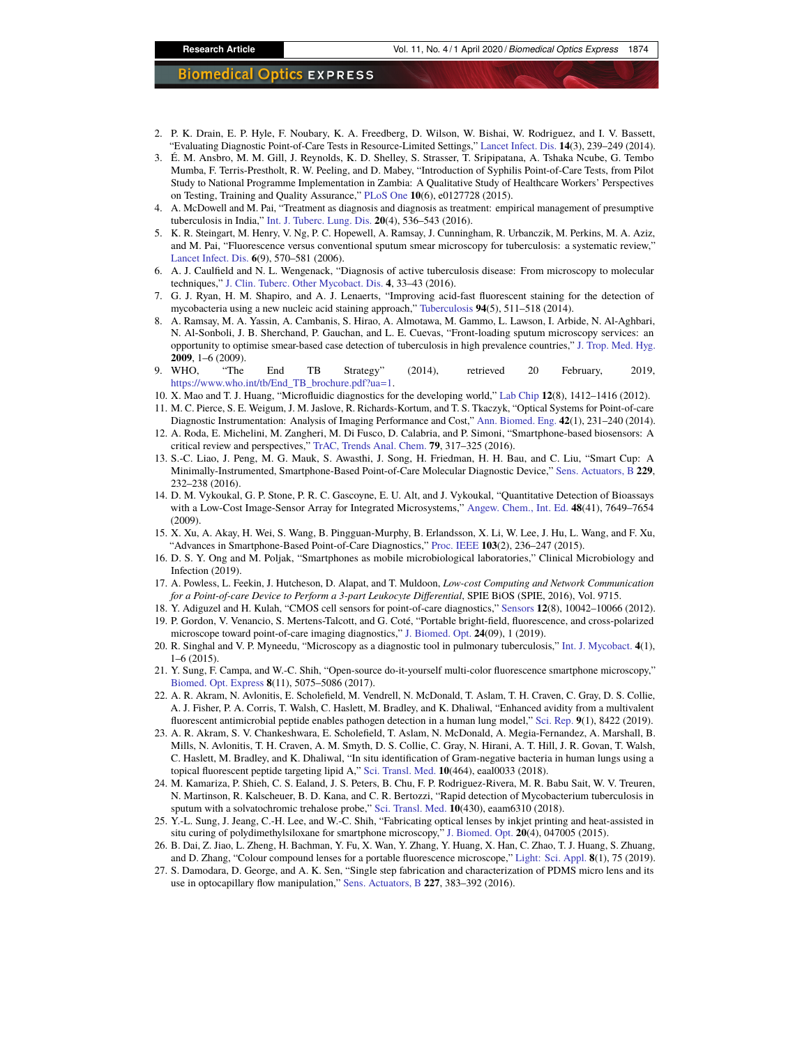- <span id="page-11-0"></span>2. P. K. Drain, E. P. Hyle, F. Noubary, K. A. Freedberg, D. Wilson, W. Bishai, W. Rodriguez, and I. V. Bassett, "Evaluating Diagnostic Point-of-Care Tests in Resource-Limited Settings," [Lancet Infect. Dis.](https://doi.org/10.1016/S1473-3099(13)70250-0) **14**(3), 239–249 (2014).
- <span id="page-11-1"></span>3. É. M. Ansbro, M. M. Gill, J. Reynolds, K. D. Shelley, S. Strasser, T. Sripipatana, A. Tshaka Ncube, G. Tembo Mumba, F. Terris-Prestholt, R. W. Peeling, and D. Mabey, "Introduction of Syphilis Point-of-Care Tests, from Pilot Study to National Programme Implementation in Zambia: A Qualitative Study of Healthcare Workers' Perspectives on Testing, Training and Quality Assurance," [PLoS One](https://doi.org/10.1371/journal.pone.0127728) **10**(6), e0127728 (2015).
- <span id="page-11-2"></span>4. A. McDowell and M. Pai, "Treatment as diagnosis and diagnosis as treatment: empirical management of presumptive tuberculosis in India," [Int. J. Tuberc. Lung. Dis.](https://doi.org/10.5588/ijtld.15.0562) **20**(4), 536–543 (2016).
- <span id="page-11-3"></span>5. K. R. Steingart, M. Henry, V. Ng, P. C. Hopewell, A. Ramsay, J. Cunningham, R. Urbanczik, M. Perkins, M. A. Aziz, and M. Pai, "Fluorescence versus conventional sputum smear microscopy for tuberculosis: a systematic review," [Lancet Infect. Dis.](https://doi.org/10.1016/S1473-3099(06)70578-3) **6**(9), 570–581 (2006).
- 6. A. J. Caulfield and N. L. Wengenack, "Diagnosis of active tuberculosis disease: From microscopy to molecular techniques," [J. Clin. Tuberc. Other Mycobact. Dis.](https://doi.org/10.1016/j.jctube.2016.05.005) **4**, 33–43 (2016).
- <span id="page-11-4"></span>7. G. J. Ryan, H. M. Shapiro, and A. J. Lenaerts, "Improving acid-fast fluorescent staining for the detection of mycobacteria using a new nucleic acid staining approach," [Tuberculosis](https://doi.org/10.1016/j.tube.2014.07.004) **94**(5), 511–518 (2014).
- <span id="page-11-5"></span>8. A. Ramsay, M. A. Yassin, A. Cambanis, S. Hirao, A. Almotawa, M. Gammo, L. Lawson, I. Arbide, N. Al-Aghbari, N. Al-Sonboli, J. B. Sherchand, P. Gauchan, and L. E. Cuevas, "Front-loading sputum microscopy services: an opportunity to optimise smear-based case detection of tuberculosis in high prevalence countries," [J. Trop. Med. Hyg.](https://doi.org/10.1155/2009/398767) **2009**, 1–6 (2009).
- <span id="page-11-6"></span>9. WHO, "The End TB Strategy" (2014), retrieved 20 February, 2019, [https://www.who.int/tb/End\\_TB\\_brochure.pdf?ua](https://www.who.int/tb/End_TB_brochure.pdf?ua=1)=1.
- <span id="page-11-7"></span>10. X. Mao and T. J. Huang, "Microfluidic diagnostics for the developing world," [Lab Chip](https://doi.org/10.1039/c2lc90022j) **12**(8), 1412–1416 (2012).
- <span id="page-11-8"></span>11. M. C. Pierce, S. E. Weigum, J. M. Jaslove, R. Richards-Kortum, and T. S. Tkaczyk, "Optical Systems for Point-of-care Diagnostic Instrumentation: Analysis of Imaging Performance and Cost," [Ann. Biomed. Eng.](https://doi.org/10.1007/s10439-013-0918-z) **42**(1), 231–240 (2014).
- <span id="page-11-9"></span>12. A. Roda, E. Michelini, M. Zangheri, M. Di Fusco, D. Calabria, and P. Simoni, "Smartphone-based biosensors: A critical review and perspectives," [TrAC, Trends Anal. Chem.](https://doi.org/10.1016/j.trac.2015.10.019) **79**, 317–325 (2016).
- <span id="page-11-10"></span>13. S.-C. Liao, J. Peng, M. G. Mauk, S. Awasthi, J. Song, H. Friedman, H. H. Bau, and C. Liu, "Smart Cup: A Minimally-Instrumented, Smartphone-Based Point-of-Care Molecular Diagnostic Device," [Sens. Actuators, B](https://doi.org/10.1016/j.snb.2016.01.073) **229**, 232–238 (2016).
- <span id="page-11-11"></span>14. D. M. Vykoukal, G. P. Stone, P. R. C. Gascoyne, E. U. Alt, and J. Vykoukal, "Quantitative Detection of Bioassays with a Low-Cost Image-Sensor Array for Integrated Microsystems," [Angew. Chem., Int. Ed.](https://doi.org/10.1002/anie.200901814) **48**(41), 7649–7654 (2009).
- 15. X. Xu, A. Akay, H. Wei, S. Wang, B. Pingguan-Murphy, B. Erlandsson, X. Li, W. Lee, J. Hu, L. Wang, and F. Xu, "Advances in Smartphone-Based Point-of-Care Diagnostics," [Proc. IEEE](https://doi.org/10.1109/JPROC.2014.2378776) **103**(2), 236–247 (2015).
- <span id="page-11-12"></span>16. D. S. Y. Ong and M. Poljak, "Smartphones as mobile microbiological laboratories," Clinical Microbiology and Infection (2019).
- <span id="page-11-13"></span>17. A. Powless, L. Feekin, J. Hutcheson, D. Alapat, and T. Muldoon, *Low-cost Computing and Network Communication for a Point-of-care Device to Perform a 3-part Leukocyte Differential*, SPIE BiOS (SPIE, 2016), Vol. 9715.
- <span id="page-11-14"></span>18. Y. Adiguzel and H. Kulah, "CMOS cell sensors for point-of-care diagnostics," [Sensors](https://doi.org/10.3390/s120810042) **12**(8), 10042–10066 (2012).
- <span id="page-11-15"></span>19. P. Gordon, V. Venancio, S. Mertens-Talcott, and G. Coté, "Portable bright-field, fluorescence, and cross-polarized microscope toward point-of-care imaging diagnostics," [J. Biomed. Opt.](https://doi.org/10.1117/1.JBO.24.9.096502) **24**(09), 1 (2019).
- <span id="page-11-16"></span>20. R. Singhal and V. P. Myneedu, "Microscopy as a diagnostic tool in pulmonary tuberculosis," [Int. J. Mycobact.](https://doi.org/10.1016/j.ijmyco.2014.12.006) **4**(1), 1–6 (2015).
- <span id="page-11-17"></span>21. Y. Sung, F. Campa, and W.-C. Shih, "Open-source do-it-yourself multi-color fluorescence smartphone microscopy," [Biomed. Opt. Express](https://doi.org/10.1364/BOE.8.005075) **8**(11), 5075–5086 (2017).
- <span id="page-11-18"></span>22. A. R. Akram, N. Avlonitis, E. Scholefield, M. Vendrell, N. McDonald, T. Aslam, T. H. Craven, C. Gray, D. S. Collie, A. J. Fisher, P. A. Corris, T. Walsh, C. Haslett, M. Bradley, and K. Dhaliwal, "Enhanced avidity from a multivalent fluorescent antimicrobial peptide enables pathogen detection in a human lung model," [Sci. Rep.](https://doi.org/10.1038/s41598-019-44804-0) **9**(1), 8422 (2019).
- 23. A. R. Akram, S. V. Chankeshwara, E. Scholefield, T. Aslam, N. McDonald, A. Megia-Fernandez, A. Marshall, B. Mills, N. Avlonitis, T. H. Craven, A. M. Smyth, D. S. Collie, C. Gray, N. Hirani, A. T. Hill, J. R. Govan, T. Walsh, C. Haslett, M. Bradley, and K. Dhaliwal, "In situ identification of Gram-negative bacteria in human lungs using a topical fluorescent peptide targeting lipid A," [Sci. Transl. Med.](https://doi.org/10.1126/scitranslmed.aal0033) **10**(464), eaal0033 (2018).
- <span id="page-11-19"></span>24. M. Kamariza, P. Shieh, C. S. Ealand, J. S. Peters, B. Chu, F. P. Rodriguez-Rivera, M. R. Babu Sait, W. V. Treuren, N. Martinson, R. Kalscheuer, B. D. Kana, and C. R. Bertozzi, "Rapid detection of Mycobacterium tuberculosis in sputum with a solvatochromic trehalose probe," [Sci. Transl. Med.](https://doi.org/10.1126/scitranslmed.aam6310) **10**(430), eaam6310 (2018).
- <span id="page-11-20"></span>25. Y.-L. Sung, J. Jeang, C.-H. Lee, and W.-C. Shih, "Fabricating optical lenses by inkjet printing and heat-assisted in situ curing of polydimethylsiloxane for smartphone microscopy," [J. Biomed. Opt.](https://doi.org/10.1117/1.JBO.20.4.047005) **20**(4), 047005 (2015).
- <span id="page-11-21"></span>26. B. Dai, Z. Jiao, L. Zheng, H. Bachman, Y. Fu, X. Wan, Y. Zhang, Y. Huang, X. Han, C. Zhao, T. J. Huang, S. Zhuang, and D. Zhang, "Colour compound lenses for a portable fluorescence microscope," [Light: Sci. Appl.](https://doi.org/10.1038/s41377-019-0187-1) **8**(1), 75 (2019).
- <span id="page-11-22"></span>27. S. Damodara, D. George, and A. K. Sen, "Single step fabrication and characterization of PDMS micro lens and its use in optocapillary flow manipulation," [Sens. Actuators, B](https://doi.org/10.1016/j.snb.2015.12.070) **227**, 383–392 (2016).